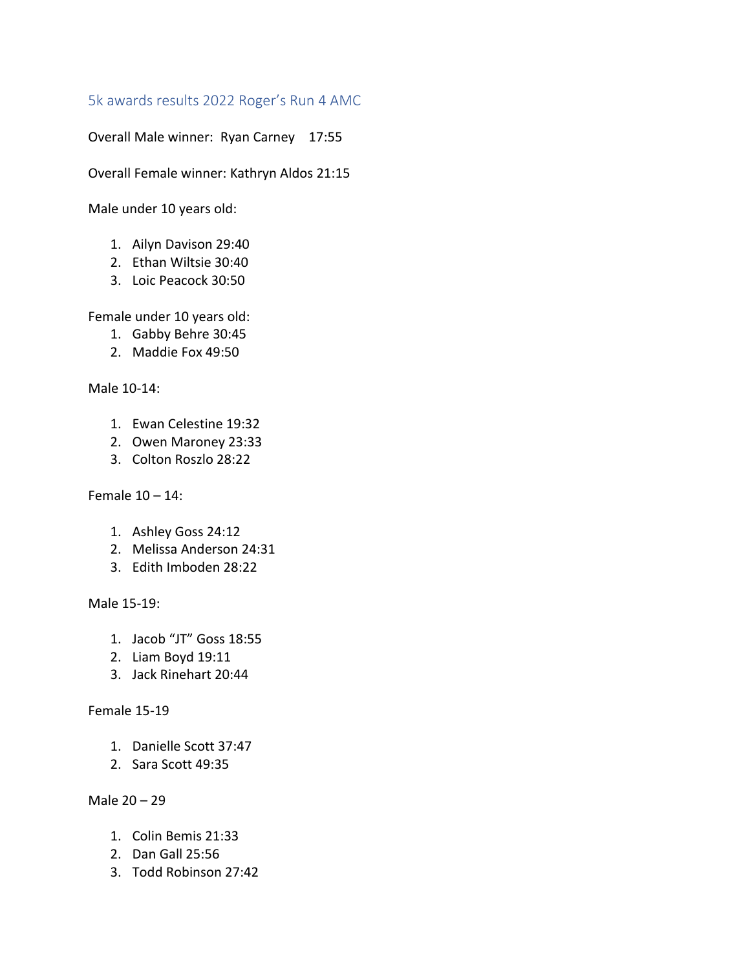5k awards results 2022 Roger's Run 4 AMC

Overall Male winner: Ryan Carney 17:55

Overall Female winner: Kathryn Aldos 21:15

Male under 10 years old:

- 1. Ailyn Davison 29:40
- 2. Ethan Wiltsie 30:40
- 3. Loic Peacock 30:50

Female under 10 years old:

- 1. Gabby Behre 30:45
- 2. Maddie Fox 49:50

Male 10-14:

- 1. Ewan Celestine 19:32
- 2. Owen Maroney 23:33
- 3. Colton Roszlo 28:22

Female 10 – 14:

- 1. Ashley Goss 24:12
- 2. Melissa Anderson 24:31
- 3. Edith Imboden 28:22

Male 15-19:

- 1. Jacob "JT" Goss 18:55
- 2. Liam Boyd 19:11
- 3. Jack Rinehart 20:44

### Female 15-19

- 1. Danielle Scott 37:47
- 2. Sara Scott 49:35

### Male 20 – 29

- 1. Colin Bemis 21:33
- 2. Dan Gall 25:56
- 3. Todd Robinson 27:42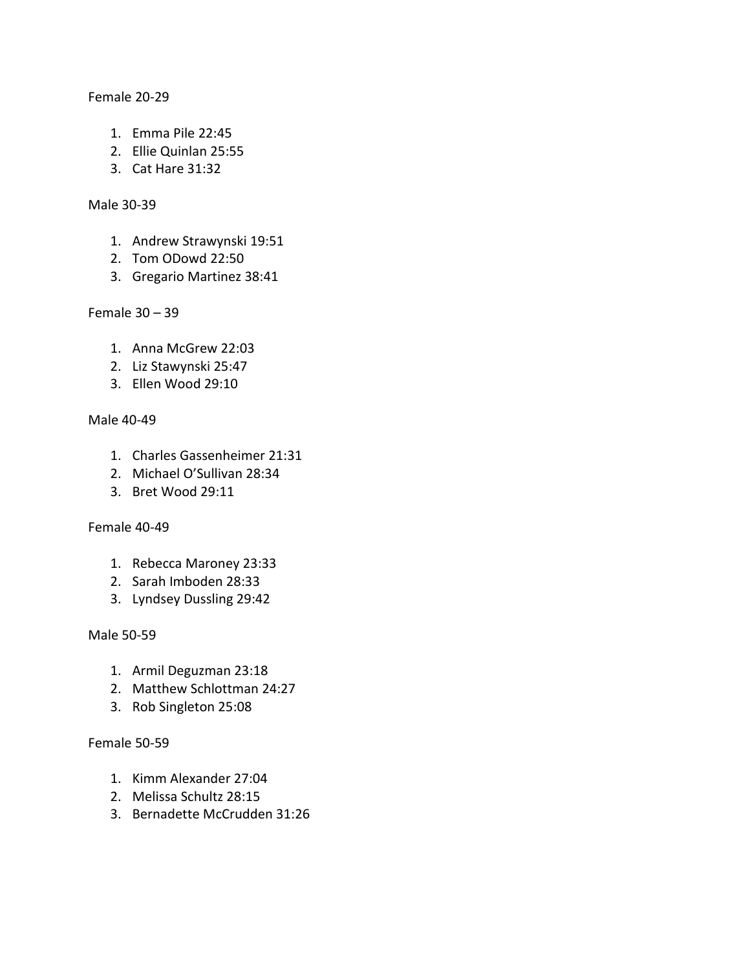Female 20-29

- 1. Emma Pile 22:45
- 2. Ellie Quinlan 25:55
- 3. Cat Hare 31:32

#### Male 30-39

- 1. Andrew Strawynski 19:51
- 2. Tom ODowd 22:50
- 3. Gregario Martinez 38:41

Female 30 – 39

- 1. Anna McGrew 22:03
- 2. Liz Stawynski 25:47
- 3. Ellen Wood 29:10

### Male 40-49

- 1. Charles Gassenheimer 21:31
- 2. Michael O'Sullivan 28:34
- 3. Bret Wood 29:11

### Female 40-49

- 1. Rebecca Maroney 23:33
- 2. Sarah Imboden 28:33
- 3. Lyndsey Dussling 29:42

### Male 50-59

- 1. Armil Deguzman 23:18
- 2. Matthew Schlottman 24:27
- 3. Rob Singleton 25:08

### Female 50-59

- 1. Kimm Alexander 27:04
- 2. Melissa Schultz 28:15
- 3. Bernadette McCrudden 31:26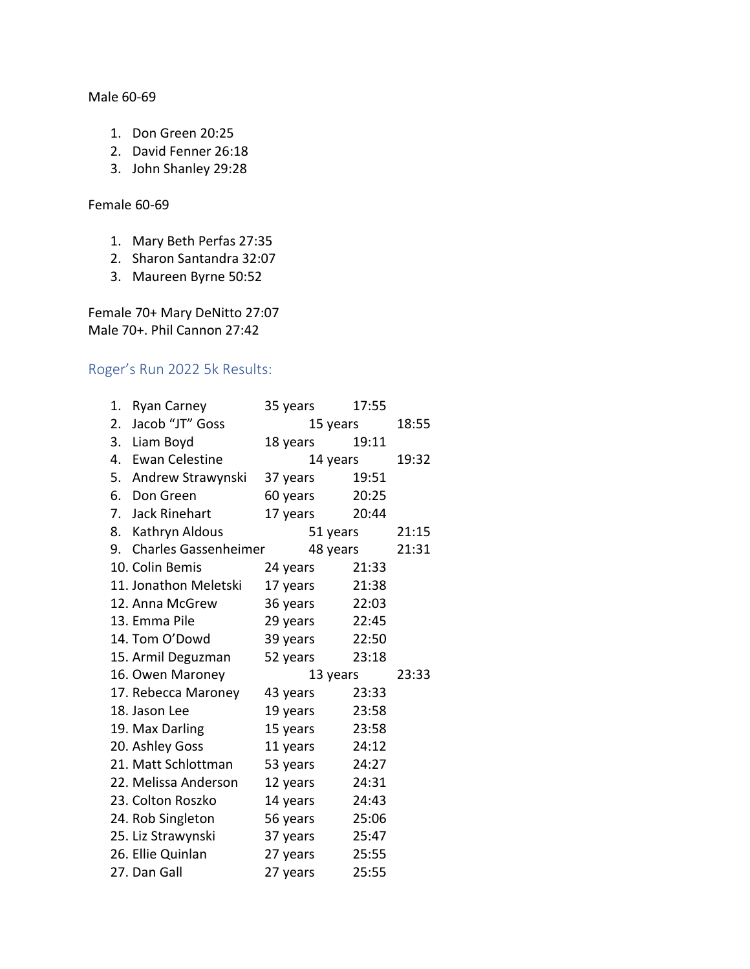Male 60-69

- 1. Don Green 20:25
- 2. David Fenner 26:18
- 3. John Shanley 29:28

### Female 60-69

- 1. Mary Beth Perfas 27:35
- 2. Sharon Santandra 32:07
- 3. Maureen Byrne 50:52

Female 70+ Mary DeNitto 27:07 Male 70+. Phil Cannon 27:42

## Roger's Run 2022 5k Results:

| 1. | <b>Ryan Carney</b>          | 35 years | 17:55 |       |
|----|-----------------------------|----------|-------|-------|
| 2. | Jacob "JT" Goss             | 15 years | 18:55 |       |
|    | 3. Liam Boyd                | 18 years | 19:11 |       |
|    | 4. Ewan Celestine           | 14 years | 19:32 |       |
|    | 5. Andrew Strawynski        | 37 years | 19:51 |       |
|    | 6. Don Green                | 60 years | 20:25 |       |
|    | 7. Jack Rinehart            | 17 years | 20:44 |       |
|    | 8. Kathryn Aldous           | 51 years |       | 21:15 |
| 9. | <b>Charles Gassenheimer</b> | 48 years |       | 21:31 |
|    | 10. Colin Bemis             | 24 years | 21:33 |       |
|    | 11. Jonathon Meletski       | 17 years | 21:38 |       |
|    | 12. Anna McGrew             | 36 years | 22:03 |       |
|    | 13. Emma Pile               | 29 years | 22:45 |       |
|    | 14. Tom O'Dowd              | 39 years | 22:50 |       |
|    | 15. Armil Deguzman          | 52 years | 23:18 |       |
|    | 16. Owen Maroney            | 13 years |       | 23:33 |
|    | 17. Rebecca Maroney         | 43 years | 23:33 |       |
|    | 18. Jason Lee               | 19 years | 23:58 |       |
|    | 19. Max Darling             | 15 years | 23:58 |       |
|    | 20. Ashley Goss             | 11 years | 24:12 |       |
|    | 21. Matt Schlottman         | 53 years | 24:27 |       |
|    | 22. Melissa Anderson        | 12 years | 24:31 |       |
|    | 23. Colton Roszko           | 14 years | 24:43 |       |
|    | 24. Rob Singleton           | 56 years | 25:06 |       |
|    | 25. Liz Strawynski          | 37 years | 25:47 |       |
|    | 26. Ellie Quinlan           | 27 years | 25:55 |       |
|    | 27. Dan Gall                | 27 years | 25:55 |       |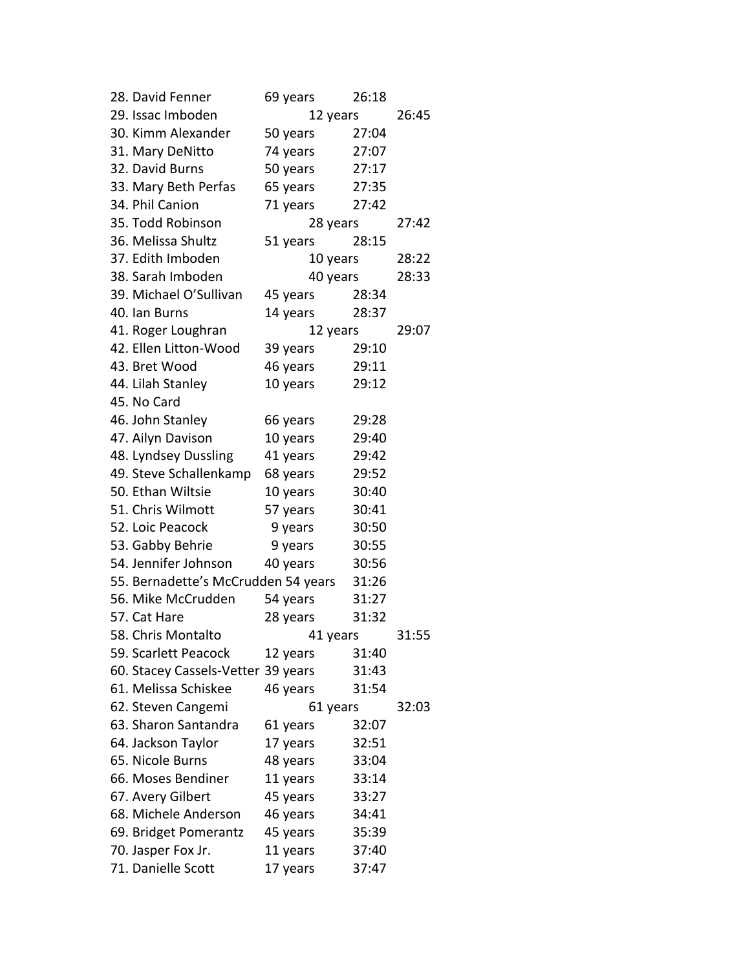| 28. David Fenner                    | 69 years |          | 26:18 |       |
|-------------------------------------|----------|----------|-------|-------|
| 29. Issac Imboden                   | 12 years |          |       | 26:45 |
| 30. Kimm Alexander                  | 50 years |          | 27:04 |       |
| 31. Mary DeNitto                    | 74 years |          | 27:07 |       |
| 32. David Burns                     | 50 years |          | 27:17 |       |
| 33. Mary Beth Perfas                | 65 years |          | 27:35 |       |
| 34. Phil Canion                     | 71 years |          | 27:42 |       |
| 35. Todd Robinson                   |          | 28 years |       | 27:42 |
| 36. Melissa Shultz                  | 51 years |          | 28:15 |       |
| 37. Edith Imboden                   |          | 10 years |       | 28:22 |
| 38. Sarah Imboden                   |          | 40 years |       | 28:33 |
| 39. Michael O'Sullivan              | 45 years |          | 28:34 |       |
| 40. Ian Burns                       | 14 years |          | 28:37 |       |
| 41. Roger Loughran                  |          | 12 years |       | 29:07 |
| 42. Ellen Litton-Wood               | 39 years |          | 29:10 |       |
| 43. Bret Wood                       | 46 years |          | 29:11 |       |
| 44. Lilah Stanley                   | 10 years |          | 29:12 |       |
| 45. No Card                         |          |          |       |       |
| 46. John Stanley                    | 66 years |          | 29:28 |       |
| 47. Ailyn Davison                   | 10 years |          | 29:40 |       |
| 48. Lyndsey Dussling                | 41 years |          | 29:42 |       |
| 49. Steve Schallenkamp              | 68 years |          | 29:52 |       |
| 50. Ethan Wiltsie                   | 10 years |          | 30:40 |       |
| 51. Chris Wilmott                   | 57 years |          | 30:41 |       |
| 52. Loic Peacock                    | 9 years  |          | 30:50 |       |
| 53. Gabby Behrie                    | 9 years  |          | 30:55 |       |
| 54. Jennifer Johnson                | 40 years |          | 30:56 |       |
| 55. Bernadette's McCrudden 54 years |          |          | 31:26 |       |
| 56. Mike McCrudden                  | 54 years |          | 31:27 |       |
| 57. Cat Hare                        | 28 years |          | 31:32 |       |
| 58. Chris Montalto                  |          | 41 years |       | 31:55 |
| 59. Scarlett Peacock                | 12 years |          | 31:40 |       |
| 60. Stacey Cassels-Vetter 39 years  |          |          | 31:43 |       |
| 61. Melissa Schiskee                | 46 years |          | 31:54 |       |
| 62. Steven Cangemi                  |          | 61 years |       | 32:03 |
| 63. Sharon Santandra                | 61 years |          | 32:07 |       |
| 64. Jackson Taylor                  | 17 years |          | 32:51 |       |
| 65. Nicole Burns                    | 48 years |          | 33:04 |       |
| 66. Moses Bendiner                  | 11 years |          | 33:14 |       |
| 67. Avery Gilbert                   | 45 years |          | 33:27 |       |
| 68. Michele Anderson                | 46 years |          | 34:41 |       |
| 69. Bridget Pomerantz               | 45 years |          | 35:39 |       |
| 70. Jasper Fox Jr.                  | 11 years |          | 37:40 |       |
| 71. Danielle Scott                  | 17 years |          | 37:47 |       |